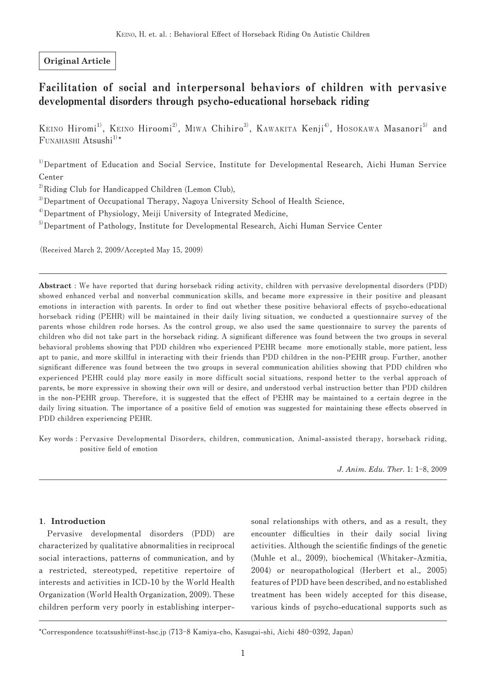# **Original Article**

# Facilitation of social and interpersonal behaviors of children with pervasive developmental disorders through psycho-educational horseback riding

**Keino Hiromi1), Keino Hiroomi2), Miwa Chihiro3), Kawakita Kenji4), Hosokawa Masanori5) and**   $F$ **unahashi** $A$ **tsushi** $^{1)*}$ 

<sup>1)</sup>Department of Education and Social Service, Institute for Developmental Research, Aichi Human Service **Center**

<sup>2)</sup>Riding Club for Handicapped Children (Lemon Club),

**3)Department of Occupational Therapy, Nagoya University School of Health Science,**

**4)Department of Physiology, Meiji University of Integrated Medicine,**

<sup>5</sup> Department of Pathology, Institute for Developmental Research, Aichi Human Service Center

**(Received March 2, 2009/Accepted May 15, 2009)**

**Abstract : We have reported that during horseback riding activity, children with pervasive developmental disorders (PDD) showed enhanced verbal and nonverbal communication skills, and became more expressive in their positive and pleasant emotions in interaction with parents. In order to find out whether these positive behavioral effects of psycho-educational horseback riding (PEHR) will be maintained in their daily living situation, we conducted a questionnaire survey of the parents whose children rode horses. As the control group, we also used the same questionnaire to survey the parents of children who did not take part in the horseback riding. A significant difference was found between the two groups in several behavioral problems showing that PDD children who experienced PEHR became more emotionally stable, more patient, less apt to panic, and more skillful in interacting with their friends than PDD children in the non-PEHR group. Further, another significant difference was found between the two groups in several communication abilities showing that PDD children who experienced PEHR could play more easily in more difficult social situations, respond better to the verbal approach of parents, be more expressive in showing their own will or desire, and understood verbal instruction better than PDD children**  in the non-PEHR group. Therefore, it is suggested that the effect of PEHR may be maintained to a certain degree in the daily living situation. The importance of a positive field of emotion was suggested for maintaining these effects observed in **PDD children experiencing PEHR.**

**Key words : Pervasive Developmental Disorders, children, communication, Animal-assisted therapy, horseback riding, positive field of emotion**

*J. Anim. Edu. Ther.* **1: 1-8, 2009** 

### **1. Introduction**

**Pervasive developmental disorders (PDD) are characterized by qualitative abnormalities in reciprocal social interactions, patterns of communication, and by a restricted, stereotyped, repetitive repertoire of interests and activities in ICD-10 by the World Health Organization (World Health Organization, 2009). These children perform very poorly in establishing interper-** **sonal relationships with others, and as a result, they encounter difficulties in their daily social living activities. Although the scientific findings of the genetic (Muhle et al., 2009), biochemical (Whitaker-Azmitia, 2004) or neuropathological (Herbert et al., 2005) features of PDD have been described, and no established treatment has been widely accepted for this disease, various kinds of psycho-educational supports such as** 

**<sup>\*</sup>Correspondence to:atsushi@inst-hsc.jp (713-8 Kamiya-cho, Kasugai-shi, Aichi 480-0392, Japan)**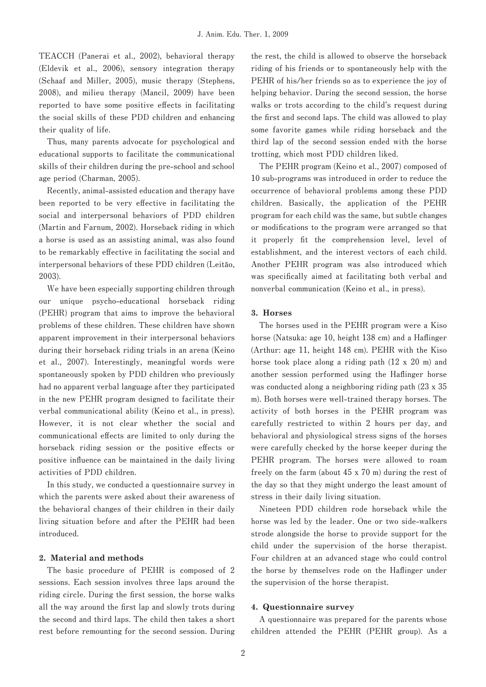**TEACCH (Panerai et al., 2002), behavioral therapy (Eldevik et al., 2006), sensory integration therapy (Schaaf and Miller, 2005), music therapy (Stephens, 2008), and milieu therapy (Mancil, 2009) have been reported to have some positive effects in facilitating the social skills of these PDD children and enhancing their quality of life.**

**Thus, many parents advocate for psychological and educational supports to facilitate the communicational skills of their children during the pre-school and school age period (Charman, 2005).**

**Recently, animal-assisted education and therapy have been reported to be very effective in facilitating the social and interpersonal behaviors of PDD children (Martin and Farnum, 2002). Horseback riding in which a horse is used as an assisting animal, was also found to be remarkably effective in facilitating the social and interpersonal behaviors of these PDD children (Leitão, 2003).**

**We have been especially supporting children through our unique psycho-educational horseback riding (PEHR) program that aims to improve the behavioral problems of these children. These children have shown apparent improvement in their interpersonal behaviors during their horseback riding trials in an arena (Keino et al., 2007). Interestingly, meaningful words were spontaneously spoken by PDD children who previously had no apparent verbal language after they participated in the new PEHR program designed to facilitate their verbal communicational ability (Keino et al., in press). However, it is not clear whether the social and communicational effects are limited to only during the horseback riding session or the positive effects or positive influence can be maintained in the daily living activities of PDD children.**

**In this study, we conducted a questionnaire survey in which the parents were asked about their awareness of the behavioral changes of their children in their daily living situation before and after the PEHR had been introduced.**

### **2. Material and methods**

**The basic procedure of PEHR is composed of 2 sessions. Each session involves three laps around the riding circle. During the first session, the horse walks all the way around the first lap and slowly trots during the second and third laps. The child then takes a short rest before remounting for the second session. During**  **the rest, the child is allowed to observe the horseback riding of his friends or to spontaneously help with the PEHR of his/her friends so as to experience the joy of helping behavior. During the second session, the horse walks or trots according to the child's request during the first and second laps. The child was allowed to play some favorite games while riding horseback and the third lap of the second session ended with the horse trotting, which most PDD children liked.**

**The PEHR program (Keino et al., 2007) composed of 10 sub-programs was introduced in order to reduce the occurrence of behavioral problems among these PDD children. Basically, the application of the PEHR program for each child was the same, but subtle changes or modifications to the program were arranged so that it properly fit the comprehension level, level of establishment, and the interest vectors of each child. Another PEHR program was also introduced which was specifically aimed at facilitating both verbal and nonverbal communication (Keino et al., in press).**

#### **3. Horses**

**The horses used in the PEHR program were a Kiso horse (Natsuka: age 10, height 138 cm) and a Haflinger (Arthur: age 11, height 148 cm). PEHR with the Kiso horse took place along a riding path (12 x 20 m) and another session performed using the Haflinger horse was conducted along a neighboring riding path (23 x 35 m). Both horses were well-trained therapy horses. The activity of both horses in the PEHR program was carefully restricted to within 2 hours per day, and behavioral and physiological stress signs of the horses were carefully checked by the horse keeper during the PEHR program. The horses were allowed to roam freely on the farm (about 45 x 70 m) during the rest of the day so that they might undergo the least amount of stress in their daily living situation.**

**Nineteen PDD children rode horseback while the horse was led by the leader. One or two side-walkers strode alongside the horse to provide support for the child under the supervision of the horse therapist. Four children at an advanced stage who could control the horse by themselves rode on the Haflinger under the supervision of the horse therapist.**

### **4. Questionnaire survey**

**A questionnaire was prepared for the parents whose children attended the PEHR (PEHR group). As a**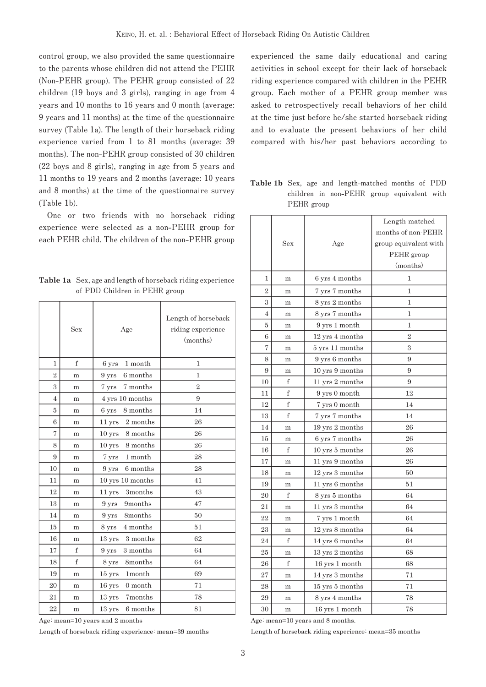**control group, we also provided the same questionnaire to the parents whose children did not attend the PEHR (Non-PEHR group). The PEHR group consisted of 22 children (19 boys and 3 girls), ranging in age from 4 years and 10 months to 16 years and 0 month (average: 9 years and 11 months) at the time of the questionnaire survey (Table 1a). The length of their horseback riding experience varied from 1 to 81 months (average: 39 months). The non-PEHR group consisted of 30 children (22 boys and 8 girls), ranging in age from 5 years and 11 months to 19 years and 2 months (average: 10 years and 8 months) at the time of the questionnaire survey (Table 1b).**

**One or two friends with no horseback riding experience were selected as a non-PEHR group for each PEHR child. The children of the non-PEHR group** 

**Table 1a Sex, age and length of horseback riding experience of PDD Children in PEHR group**

|                | Sex         | Age                            | Length of horseback<br>riding experience<br>(months) |  |  |
|----------------|-------------|--------------------------------|------------------------------------------------------|--|--|
| 1              | $\mathbf f$ | 1 month<br>6 yrs               | $\mathbf{1}$                                         |  |  |
| 2              | m           | 6 months<br>$9 \mathrm{~yrs}$  | $\mathbf{1}$                                         |  |  |
| 3              | m           | 7 yrs 7 months                 | $\overline{2}$                                       |  |  |
| $\overline{4}$ | m           | 4 yrs 10 months                | 9                                                    |  |  |
| 5              | m           | 6 yrs<br>8 months              | 14                                                   |  |  |
| 6              | m           | 11 yrs 2 months                | 26                                                   |  |  |
| 7              | m           | 10 yrs 8 months                | 26                                                   |  |  |
| 8              | m           | 10 yrs 8 months                | 26                                                   |  |  |
| 9              | m           | 7 yrs 1 month                  | 28                                                   |  |  |
| 10             | m           | 9 yrs 6 months                 | 28                                                   |  |  |
| 11             | m           | $10$ yrs $10$ months           | 41                                                   |  |  |
| 12             | m           | 3months<br>11 yrs              | 43                                                   |  |  |
| 13             | m           | 9 yrs 9months                  | 47                                                   |  |  |
| 14             | m           | 9 yrs 8months                  | 50                                                   |  |  |
| 15             | m           | 4 months<br>8 yrs              | 51                                                   |  |  |
| 16             | m           | 13 yrs 3 months                | 62                                                   |  |  |
| 17             | f           | 3 months<br>$9 \,\mathrm{yrs}$ | 64                                                   |  |  |
| 18             | f           | 8months<br>$8\;\mathrm{yrs}$   | 64                                                   |  |  |
| 19             | m           | 15 yrs 1month                  | 69                                                   |  |  |
| 20             | m           | 16 yrs 0 month                 | 71                                                   |  |  |
| 21             | m           | 13 yrs 7months                 | 78                                                   |  |  |
| 22             | m           | $13 \;{\rm yrs}$<br>6 months   | 81                                                   |  |  |

Age: mean=10 years and 2 months

Length of horseback riding experience: mean=39 months

**experienced the same daily educational and caring activities in school except for their lack of horseback riding experience compared with children in the PEHR group. Each mother of a PEHR group member was asked to retrospectively recall behaviors of her child at the time just before he/she started horseback riding and to evaluate the present behaviors of her child compared with his/her past behaviors according to** 

**Table 1b Sex, age and length-matched months of PDD children in non-PEHR group equivalent with PEHR group**

|                |     |                                    | Length-matched        |  |  |  |
|----------------|-----|------------------------------------|-----------------------|--|--|--|
|                |     |                                    | months of non-PEHR    |  |  |  |
|                | Sex | Age                                | group equivalent with |  |  |  |
|                |     |                                    | PEHR group            |  |  |  |
|                |     |                                    | (months)              |  |  |  |
| 1              | m   | 6 yrs 4 months                     | $\mathbf{1}$          |  |  |  |
| $\overline{2}$ | m   | 7 yrs 7 months                     | 1                     |  |  |  |
| 3              | m   | 8 yrs 2 months                     | 1                     |  |  |  |
| 4              | m   | 8 yrs 7 months                     | 1                     |  |  |  |
| 5              | m   | 9 yrs 1 month                      | $\mathbf{1}$          |  |  |  |
| 6              | m   | $12 \,\rm yrs$ 4 months            | $\overline{2}$        |  |  |  |
| 7              | m   | $5 \,\rm yrs$ $11 \,\rm months$    | 3                     |  |  |  |
| 8              | m   | 9 yrs 6 months                     | 9                     |  |  |  |
| 9              | m   | 10 yrs 9 months                    | 9                     |  |  |  |
| 10             | f   | 11 yrs 2 months                    | 9                     |  |  |  |
| 11             | f   | 9 yrs 0 month                      | 12                    |  |  |  |
| 12             | f   | 7 yrs 0 month                      | 14                    |  |  |  |
| 13             | f   | 7 yrs 7 months                     | 14                    |  |  |  |
| 14             | m   | $19 \ \rm{yrs} \ 2 \ months$       | 26                    |  |  |  |
| 15             | m   | 6 yrs 7 months                     | 26                    |  |  |  |
| 16             | f   | $10 \,\mathrm{yrs}$ 5 months       | 26                    |  |  |  |
| 17             | m   | 11 yrs 9 months                    | 26                    |  |  |  |
| 18             | m   | $12 \text{ yrs } 3 \text{ months}$ | 50                    |  |  |  |
| 19             | m   | $11 \,\rm yrs$ 6 months            | 51                    |  |  |  |
| 20             | f   | 8 yrs 5 months                     | 64                    |  |  |  |
| 21             | m   | 11 yrs 3 months                    | 64                    |  |  |  |
| 22             | m   | 7 yrs 1 month                      | 64                    |  |  |  |
| 23             | m   | $12 \text{ yrs } 8 \text{ months}$ | 64                    |  |  |  |
| 24             | f   | 14 yrs 6 months                    | 64                    |  |  |  |
| 25             | m   | 13 yrs 2 months                    | 68                    |  |  |  |
| 26             | f   | $16 \text{ yrs } 1 \text{ month}$  | 68                    |  |  |  |
| 27             | m   | $14 \mathrm{~yrs}~3$ months        | 71                    |  |  |  |
| 28             | m   | $15 ~\rm{yrs}~5$ months            | 71                    |  |  |  |
| 29             | m   | 8 yrs 4 months                     | 78                    |  |  |  |
| 30             | m   | 16 yrs 1 month                     | 78                    |  |  |  |

Age: mean=10 years and 8 months.

Length of horseback riding experience: mean=35 months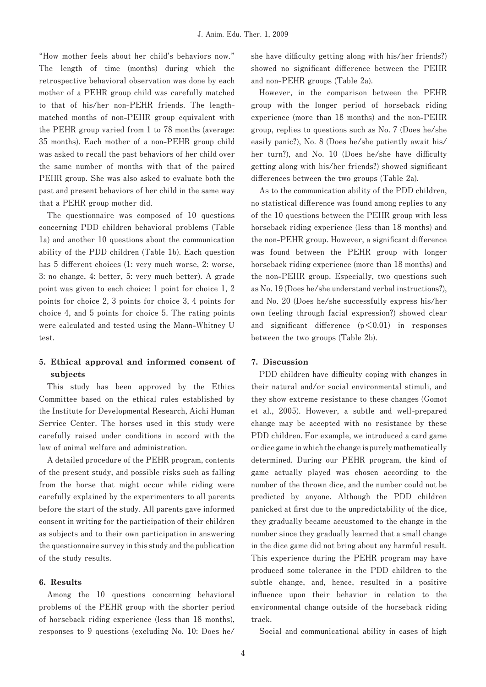**"How mother feels about her child's behaviors now." The length of time (months) during which the retrospective behavioral observation was done by each mother of a PEHR group child was carefully matched to that of his/her non-PEHR friends. The lengthmatched months of non-PEHR group equivalent with the PEHR group varied from 1 to 78 months (average: 35 months). Each mother of a non-PEHR group child was asked to recall the past behaviors of her child over the same number of months with that of the paired PEHR group. She was also asked to evaluate both the past and present behaviors of her child in the same way that a PEHR group mother did.**

**The questionnaire was composed of 10 questions concerning PDD children behavioral problems (Table 1a) and another 10 questions about the communication ability of the PDD children (Table 1b). Each question has 5 different choices (1: very much worse, 2: worse, 3: no change, 4: better, 5: very much better). A grade point was given to each choice: 1 point for choice 1, 2 points for choice 2, 3 points for choice 3, 4 points for choice 4, and 5 points for choice 5. The rating points were calculated and tested using the Mann-Whitney U test.**

# **5. Ethical approval and informed consent of subjects**

**This study has been approved by the Ethics Committee based on the ethical rules established by the Institute for Developmental Research, Aichi Human Service Center. The horses used in this study were carefully raised under conditions in accord with the law of animal welfare and administration.**

**A detailed procedure of the PEHR program, contents of the present study, and possible risks such as falling from the horse that might occur while riding were carefully explained by the experimenters to all parents before the start of the study. All parents gave informed consent in writing for the participation of their children as subjects and to their own participation in answering the questionnaire survey in this study and the publication of the study results.**

### **6. Results**

**Among the 10 questions concerning behavioral problems of the PEHR group with the shorter period of horseback riding experience (less than 18 months), responses to 9 questions (excluding No. 10: Does he/**

**she have difficulty getting along with his/her friends?) showed no significant difference between the PEHR and non-PEHR groups (Table 2a).**

**However, in the comparison between the PEHR group with the longer period of horseback riding experience (more than 18 months) and the non-PEHR group, replies to questions such as No. 7 (Does he/she easily panic?), No. 8 (Does he/she patiently await his/ her turn?), and No. 10 (Does he/she have difficulty getting along with his/her friends?) showed significant differences between the two groups (Table 2a).**

**As to the communication ability of the PDD children, no statistical difference was found among replies to any of the 10 questions between the PEHR group with less horseback riding experience (less than 18 months) and the non-PEHR group. However, a significant difference was found between the PEHR group with longer horseback riding experience (more than 18 months) and the non-PEHR group. Especially, two questions such as No. 19 (Does he/she understand verbal instructions?), and No. 20 (Does he/she successfully express his/her own feeling through facial expression?) showed clear and significant difference (p<0.01) in responses between the two groups (Table 2b).**

### **7. Discussion**

**PDD children have difficulty coping with changes in their natural and/or social environmental stimuli, and they show extreme resistance to these changes (Gomot et al., 2005). However, a subtle and well-prepared change may be accepted with no resistance by these PDD children. For example, we introduced a card game or dice game in which the change is purely mathematically determined. During our PEHR program, the kind of game actually played was chosen according to the number of the thrown dice, and the number could not be predicted by anyone. Although the PDD children panicked at first due to the unpredictability of the dice, they gradually became accustomed to the change in the number since they gradually learned that a small change in the dice game did not bring about any harmful result. This experience during the PEHR program may have produced some tolerance in the PDD children to the subtle change, and, hence, resulted in a positive influence upon their behavior in relation to the environmental change outside of the horseback riding track.**

**Social and communicational ability in cases of high**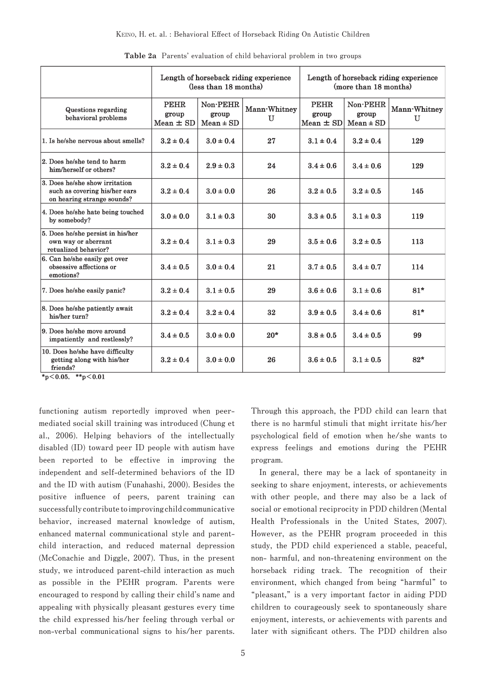|                                                                                               | Length of horseback riding experience<br>(less than 18 months) |                                    | Length of horseback riding experience<br>(more than 18 months) |                                       |                                    |                              |
|-----------------------------------------------------------------------------------------------|----------------------------------------------------------------|------------------------------------|----------------------------------------------------------------|---------------------------------------|------------------------------------|------------------------------|
| Questions regarding<br>behavioral problems                                                    | <b>PEHR</b><br>group<br>$Mean \pm SD$                          | Non-PEHR<br>group<br>$Mean \pm SD$ | Mann-Whitney<br>U                                              | <b>PEHR</b><br>group<br>$Mean \pm SD$ | Non-PEHR<br>group<br>$Mean \pm SD$ | Mann-Whitney<br>$\mathbf{U}$ |
| 1. Is he/she nervous about smells?                                                            | $3.2 \pm 0.4$                                                  | $3.0 \pm 0.4$                      | 27                                                             | $3.1 \pm 0.4$                         | $3.2 \pm 0.4$                      | 129                          |
| 2. Does he/she tend to harm<br>him/herself or others?                                         | $3.2 \pm 0.4$                                                  | $2.9 \pm 0.3$                      | 24                                                             | $3.4 \pm 0.6$                         | $3.4 \pm 0.6$                      | 129                          |
| 3. Does he/she show irritation<br>such as covering his/her ears<br>on hearing strange sounds? | $3.2 \pm 0.4$                                                  | $3.0 \pm 0.0$                      | 26                                                             | $3.2 \pm 0.5$                         | $3.2 \pm 0.5$                      | 145                          |
| 4. Does he/she hate being touched<br>by somebody?                                             | $3.0 \pm 0.0$                                                  | $3.1 \pm 0.3$                      | 30                                                             | $3.3 \pm 0.5$                         | $3.1 \pm 0.3$                      | 119                          |
| 5. Does he/she persist in his/her<br>own way or aberrant<br>retualized behavior?              | $3.2 \pm 0.4$                                                  | $3.1 \pm 0.3$                      | 29                                                             | $3.5 \pm 0.6$                         | $3.2 \pm 0.5$                      | 113                          |
| 6. Can he/she easily get over<br>obsessive affections or<br>emotions?                         | $3.4 \pm 0.5$                                                  | $3.0 \pm 0.4$                      | 21                                                             | $3.7 \pm 0.5$                         | $3.4 \pm 0.7$                      | 114                          |
| 7. Does he/she easily panic?                                                                  | $3.2 \pm 0.4$                                                  | $3.1 \pm 0.5$                      | 29                                                             | $3.6 \pm 0.6$                         | $3.1 \pm 0.6$                      | $81*$                        |
| 8. Does he/she patiently await<br>his/her turn?                                               | $3.2 \pm 0.4$                                                  | $3.2 \pm 0.4$                      | 32                                                             | $3.9 \pm 0.5$                         | $3.4 \pm 0.6$                      | $81*$                        |
| 9. Does he/she move around<br>impatiently and restlessly?                                     | $3.4 \pm 0.5$                                                  | $3.0 \pm 0.0$                      | $20*$                                                          | $3.8 \pm 0.5$                         | $3.4 \pm 0.5$                      | 99                           |
| 10. Does he/she have difficulty<br>getting along with his/her<br>friends?                     | $3.2 \pm 0.4$                                                  | $3.0 \pm 0.0$                      | 26                                                             | $3.6 \pm 0.5$                         | $3.1 \pm 0.5$                      | $82*$                        |

**Table 2a Parents' evaluation of child behavioral problem in two groups**

 $*_{p}<sub>0.05</sub>, **_{p}<sub>0.01</sub>$ 

**functioning autism reportedly improved when peermediated social skill training was introduced (Chung et al., 2006). Helping behaviors of the intellectually disabled (ID) toward peer ID people with autism have been reported to be effective in improving the independent and self-determined behaviors of the ID and the ID with autism (Funahashi, 2000). Besides the positive influence of peers, parent training can successfully contribute to improving child communicative behavior, increased maternal knowledge of autism, enhanced maternal communicational style and parentchild interaction, and reduced maternal depression (McConachie and Diggle, 2007). Thus, in the present study, we introduced parent-child interaction as much as possible in the PEHR program. Parents were encouraged to respond by calling their child's name and appealing with physically pleasant gestures every time the child expressed his/her feeling through verbal or non-verbal communicational signs to his/her parents.**  **Through this approach, the PDD child can learn that there is no harmful stimuli that might irritate his/her psychological field of emotion when he/she wants to express feelings and emotions during the PEHR program.**

**In general, there may be a lack of spontaneity in seeking to share enjoyment, interests, or achievements with other people, and there may also be a lack of social or emotional reciprocity in PDD children (Mental Health Professionals in the United States, 2007). However, as the PEHR program proceeded in this study, the PDD child experienced a stable, peaceful, non- harmful, and non-threatening environment on the horseback riding track. The recognition of their environment, which changed from being "harmful" to "pleasant," is a very important factor in aiding PDD children to courageously seek to spontaneously share enjoyment, interests, or achievements with parents and later with significant others. The PDD children also**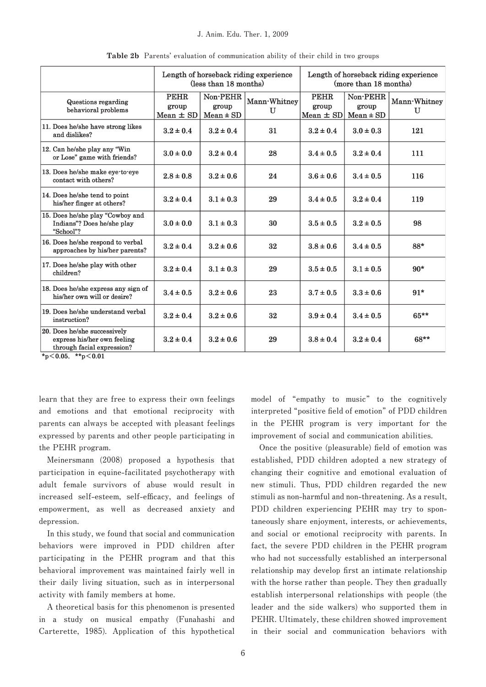|                                                                                           | Length of horseback riding experience<br>(less than 18 months) |                                    |                   | Length of horseback riding experience<br>(more than 18 months) |                                    |                   |
|-------------------------------------------------------------------------------------------|----------------------------------------------------------------|------------------------------------|-------------------|----------------------------------------------------------------|------------------------------------|-------------------|
| Questions regarding<br>behavioral problems                                                | <b>PEHR</b><br>group<br>Mean $\pm$ SD                          | Non-PEHR<br>group<br>$Mean \pm SD$ | Mann-Whitney<br>U | <b>PEHR</b><br>group<br>Mean $\pm$ SD                          | Non-PEHR<br>group<br>$Mean \pm SD$ | Mann-Whitney<br>U |
| 11. Does he/she have strong likes<br>and dislikes?                                        | $3.2 \pm 0.4$                                                  | $3.2 \pm 0.4$                      | 31                | $3.2 \pm 0.4$                                                  | $3.0 \pm 0.3$                      | 121               |
| 12. Can he/she play any "Win<br>or Lose" game with friends?                               | $3.0 \pm 0.0$                                                  | $3.2 \pm 0.4$                      | 28                | $3.4 \pm 0.5$                                                  | $3.2 \pm 0.4$                      | 111               |
| 13. Does he/she make eye to eye<br>contact with others?                                   | $2.8 \pm 0.8$                                                  | $3.2 \pm 0.6$                      | 24                | $3.6 \pm 0.6$                                                  | $3.4 \pm 0.5$                      | 116               |
| 14. Does he/she tend to point<br>his/her finger at others?                                | $3.2 \pm 0.4$                                                  | $3.1 \pm 0.3$                      | 29                | $3.4 \pm 0.5$                                                  | $3.2 \pm 0.4$                      | 119               |
| 15. Does he/she play "Cowboy and<br>Indians"? Does he/she play<br>"School"?               | $3.0 \pm 0.0$                                                  | $3.1 \pm 0.3$                      | 30                | $3.5 \pm 0.5$                                                  | $3.2 \pm 0.5$                      | 98                |
| 16. Does he/she respond to verbal<br>approaches by his/her parents?                       | $3.2 \pm 0.4$                                                  | $3.2 \pm 0.6$                      | 32                | $3.8 \pm 0.6$                                                  | $3.4 \pm 0.5$                      | 88*               |
| 17. Does he/she play with other<br>children?                                              | $3.2 \pm 0.4$                                                  | $3.1 \pm 0.3$                      | 29                | $3.5 \pm 0.5$                                                  | $3.1 \pm 0.5$                      | $90*$             |
| 18. Does he/she express any sign of<br>his/her own will or desire?                        | $3.4 \pm 0.5$                                                  | $3.2 \pm 0.6$                      | 23                | $3.7 \pm 0.5$                                                  | $3.3 \pm 0.6$                      | $91*$             |
| 19. Does he/she understand verbal<br>instruction?                                         | $3.2 \pm 0.4$                                                  | $3.2 \pm 0.6$                      | 32                | $3.9 \pm 0.4$                                                  | $3.4 \pm 0.5$                      | $65***$           |
| 20. Does he/she successively<br>express his/her own feeling<br>through facial expression? | $3.2 \pm 0.4$                                                  | $3.2 \pm 0.6$                      | 29                | $3.8 \pm 0.4$                                                  | $3.2 \pm 0.4$                      | $68**$            |

**Table 2b Parents' evaluation of communication ability of their child in two groups**

 $*_{p}<sub>0.05</sub>, *<sub>p</sub><sub>0.01</sub>$ 

**learn that they are free to express their own feelings and emotions and that emotional reciprocity with parents can always be accepted with pleasant feelings expressed by parents and other people participating in the PEHR program.**

**Meinersmann (2008) proposed a hypothesis that participation in equine-facilitated psychotherapy with adult female survivors of abuse would result in increased self-esteem, self-efficacy, and feelings of empowerment, as well as decreased anxiety and depression.**

**In this study, we found that social and communication behaviors were improved in PDD children after participating in the PEHR program and that this behavioral improvement was maintained fairly well in their daily living situation, such as in interpersonal activity with family members at home.**

**A theoretical basis for this phenomenon is presented in a study on musical empathy (Funahashi and Carterette, 1985). Application of this hypothetical**  **model of "empathy to music" to the cognitively interpreted "positive field of emotion" of PDD children in the PEHR program is very important for the improvement of social and communication abilities.**

**Once the positive (pleasurable) field of emotion was established, PDD children adopted a new strategy of changing their cognitive and emotional evaluation of new stimuli. Thus, PDD children regarded the new stimuli as non-harmful and non-threatening. As a result, PDD children experiencing PEHR may try to spontaneously share enjoyment, interests, or achievements, and social or emotional reciprocity with parents. In fact, the severe PDD children in the PEHR program who had not successfully established an interpersonal relationship may develop first an intimate relationship with the horse rather than people. They then gradually establish interpersonal relationships with people (the leader and the side walkers) who supported them in PEHR. Ultimately, these children showed improvement in their social and communication behaviors with**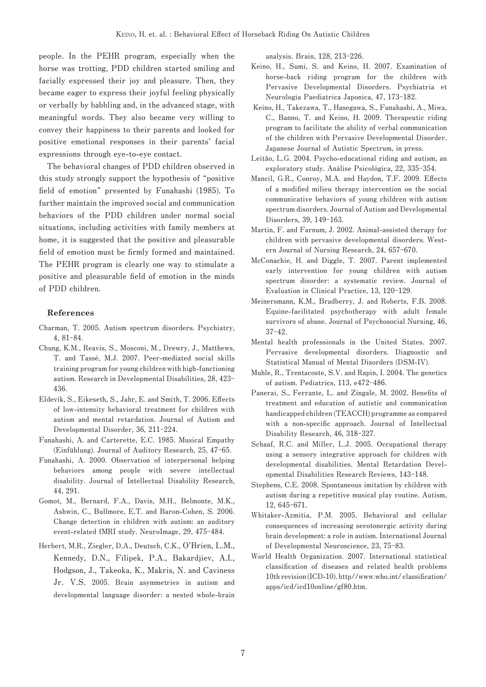**people. In the PEHR program, especially when the horse was trotting, PDD children started smiling and facially expressed their joy and pleasure. Then, they became eager to express their joyful feeling physically or verbally by babbling and, in the advanced stage, with meaningful words. They also became very willing to convey their happiness to their parents and looked for positive emotional responses in their parents' facial expressions through eye-to-eye contact.**

**The behavioral changes of PDD children observed in this study strongly support the hypothesis of "positive field of emotion" presented by Funahashi (1985). To further maintain the improved social and communication behaviors of the PDD children under normal social situations, including activities with family members at home, it is suggested that the positive and pleasurable field of emotion must be firmly formed and maintained. The PEHR program is clearly one way to stimulate a positive and pleasurable field of emotion in the minds of PDD children.**

### **References**

- **Charman, T. 2005. Autism spectrum disorders. Psychiatry, 4, 81-84.**
- **Chung, K.M., Reavis, S., Mosconi, M., Drewry, J., Matthews, T. and Tassé, M.J. 2007. Peer-mediated social skills training program for young children with high-functioning autism. Research in Developmental Disabilities, 28, 423- 436.**
- **Eldevik, S., Eikeseth, S., Jahr, E. and Smith, T. 2006. Effects of low-intensity behavioral treatment for children with autism and mental retardation. Journal of Autism and Developmental Disorder, 36, 211-224.**
- **Funahashi, A. and Carterette, E.C. 1985. Musical Empathy (Einfühlung). Journal of Auditory Research, 25, 47-65.**
- **Funahashi, A. 2000. Observation of interpersonal helping behaviors among people with severe intellectual disability. Journal of Intellectual Disability Research, 44, 291.**
- **Gomot, M., Bernard, F.A., Davis, M.H., Belmonte, M.K., Ashwin, C., Bullmore, E.T. and Baron-Cohen, S. 2006. Change detection in children with autism: an auditory event-related fMRI study. NeuroImage, 29, 475-484.**
- **Herbert, M.R., Ziegler, D.A., Deutsch, C.K., O'Brien, L.M., Kennedy, D.N., Filipek, P.A., Bakardjiev, A.I., Hodgson, J., Takeoka, K., Makris, N. and Caviness Jr. V.S. 2005. Brain asymmetries in autism and developmental language disorder: a nested whole-brain**

**analysis. Brain, 128, 213-226.**

- **Keino, H., Sumi, S. and Keino, H. 2007. Examination of horse-back riding program for the children with Pervasive Developmental Disorders. Psychiatria et Neurologia Paediatrica Japonica, 47, 173-182.**
- **Keino, H., Takezawa, T., Hasegawa, S., Funahashi, A., Miwa, C., Banno, T. and Keino, H. 2009. Therapeutic riding program to facilitate the ability of verbal communication of the children with Pervasive Developmental Disorder. Japanese Journal of Autistic Spectrum, in press.**
- **Leitão, L.G. 2004. Psycho-educational riding and autism, an exploratory study. Análise Psicológica, 22, 335-354.**
- **Mancil, G.R., Conroy, M.A. and Haydon, T.F. 2009. Effects of a modified milieu therapy intervention on the social communicative behaviors of young children with autism spectrum disorders. Journal of Autism and Developmental Disorders, 39, 149-163.**
- **Martin, F. and Farnum, J. 2002. Animal-assisted therapy for children with pervasive developmental disorders. Western Journal of Nursing Research, 24, 657-670.**
- **McConachie, H. and Diggle, T. 2007. Parent implemented early intervention for young children with autism spectrum disorder: a systematic review. Journal of Evaluation in Clinical Practice, 13, 120-129.**
- **Meinersmann, K.M., Bradberry, J. and Roberts, F.B. 2008. Equine-facilitated psychotherapy with adult female survivors of abuse. Journal of Psychosocial Nursing, 46, 37-42.**
- **Mental health professionals in the United States. 2007. Pervasive developmental disorders. Diagnostic and Statistical Manual of Mental Disorders (DSM-IV).**
- **Muhle, R., Trentacoste, S.V. and Rapin, I. 2004. The genetics of autism. Pediatrics, 113, e472-486.**
- **Panerai, S., Ferrante, L. and Zingale, M. 2002. Benefits of treatment and education of autistic and communication handicapped children (TEACCH) programme as compared with a non-specific approach. Journal of Intellectual Disability Research, 46, 318-327.**
- **Schaaf, R.C. and Miller, L.J. 2005. Occupational therapy using a sensory integrative approach for children with developmental disabilities. Mental Retardation Developmental Disabilities Research Reviews, 143-148.**
- **Stephens, C.E. 2008. Spontaneous imitation by children with autism during a repetitive musical play routine. Autism, 12, 645-671.**
- **Whitaker-Azmitia, P.M. 2005. Behavioral and cellular consequences of increasing serotonergic activity during brain development: a role in autism. International Journal of Developmental Neuroscience, 23, 75-83.**
- **World Health Organization. 2007. International statistical classification of diseases and related health problems 10th revision (ICD-10). http//www.who.int/ classification/ apps/icd/icd10online/gf80.htm.**